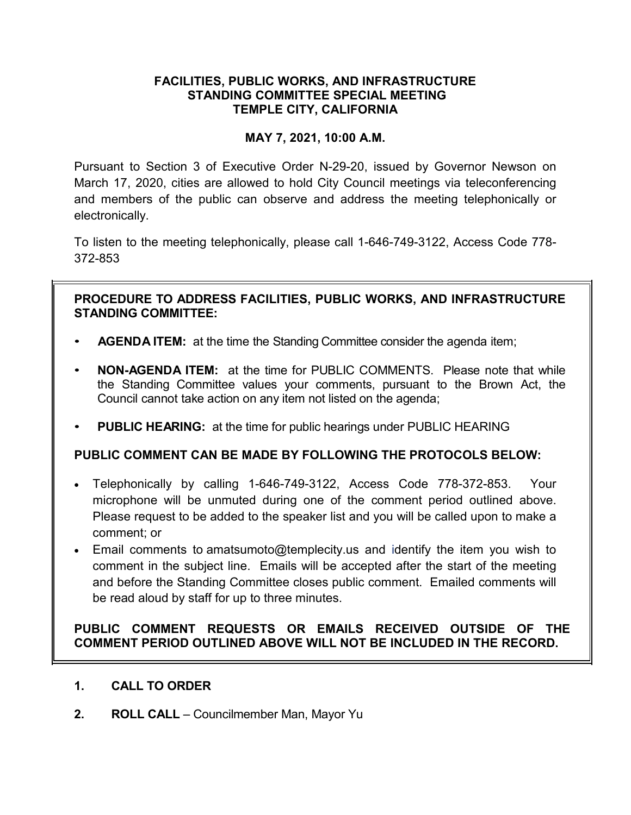## **FACILITIES, PUBLIC WORKS, AND INFRASTRUCTURE STANDING COMMITTEE SPECIAL MEETING TEMPLE CITY, CALIFORNIA**

## **MAY 7, 2021, 10:00 A.M.**

Pursuant to Section 3 of Executive Order N-29-20, issued by Governor Newson on March 17, 2020, cities are allowed to hold City Council meetings via teleconferencing and members of the public can observe and address the meeting telephonically or electronically.

To listen to the meeting telephonically, please call 1-646-749-3122, Access Code 778- 372-853

## **PROCEDURE TO ADDRESS FACILITIES, PUBLIC WORKS, AND INFRASTRUCTURE STANDING COMMITTEE:**

- **AGENDA ITEM:** at the time the Standing Committee consider the agenda item;
- **NON-AGENDA ITEM:** at the time for PUBLIC COMMENTS. Please note that while the Standing Committee values your comments, pursuant to the Brown Act, the Council cannot take action on any item not listed on the agenda;
- **PUBLIC HEARING:** at the time for public hearings under PUBLIC HEARING

# **PUBLIC COMMENT CAN BE MADE BY FOLLOWING THE PROTOCOLS BELOW:**

- Telephonically by calling 1-646-749-3122, Access Code 778-372-853. Your microphone will be unmuted during one of the comment period outlined above. Please request to be added to the speaker list and you will be called upon to make a comment; or
- Email comments to amatsumoto@templecity.us and identify the item you wish to comment in the subject line. Emails will be accepted after the start of the meeting and before the Standing Committee closes public comment. Emailed comments will be read aloud by staff for up to three minutes.

# **PUBLIC COMMENT REQUESTS OR EMAILS RECEIVED OUTSIDE OF THE COMMENT PERIOD OUTLINED ABOVE WILL NOT BE INCLUDED IN THE RECORD.**

### **1. CALL TO ORDER**

**2. ROLL CALL** – Councilmember Man, Mayor Yu